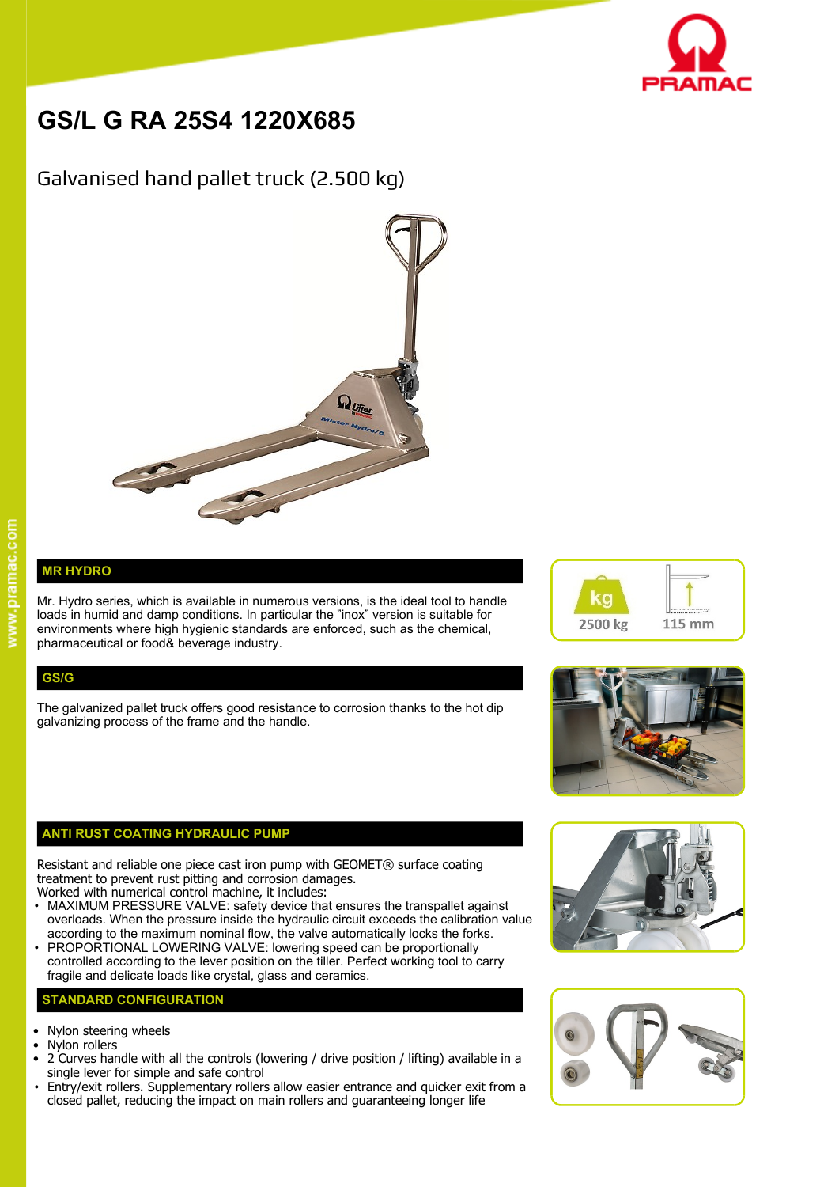

# **GS/L G RA 25S4 1220X685**

## Galvanised hand pallet truck (2.500 kg)



### **MR HYDRO**

Mr. Hydro series, which is available in numerous versions, is the ideal tool to handle  $\blacksquare$ loads in humid and damp conditions. In particular the "inox" version is suitable for environments where high hygienic standards are enforced, such as the chemical, pharmaceutical or food& beverage industry.

#### **GS/G**

The galvanized pallet truck offers good resistance to corrosion thanks to the hot dip galvanizing process of the frame and the handle.

#### **ANTI RUST COATING HYDRAULIC PUMP**

Resistant and reliable one piece cast iron pump with GEOMET® surface coating treatment to prevent rust pitting and corrosion damages.

- Worked with numerical control machine, it includes: • MAXIMUM PRESSURE VALVE: safety device that ensures the transpallet against overloads. When the pressure inside the hydraulic circuit exceeds the calibration value according to the maximum nominal flow, the valve automatically locks the forks.
- PROPORTIONAL LOWERING VALVE: lowering speed can be proportionally controlled according to the lever position on the tiller. Perfect working tool to carry fragile and delicate loads like crystal, glass and ceramics.

#### **STANDARD CONFIGURATION**

- Nylon steering wheels
- Nylon rollers
- 2 Curves handle with all the controls (lowering / drive position / lifting) available in a single lever for simple and safe control
- Entry/exit rollers. Supplementary rollers allow easier entrance and quicker exit from a closed pallet, reducing the impact on main rollers and guaranteeing longer life







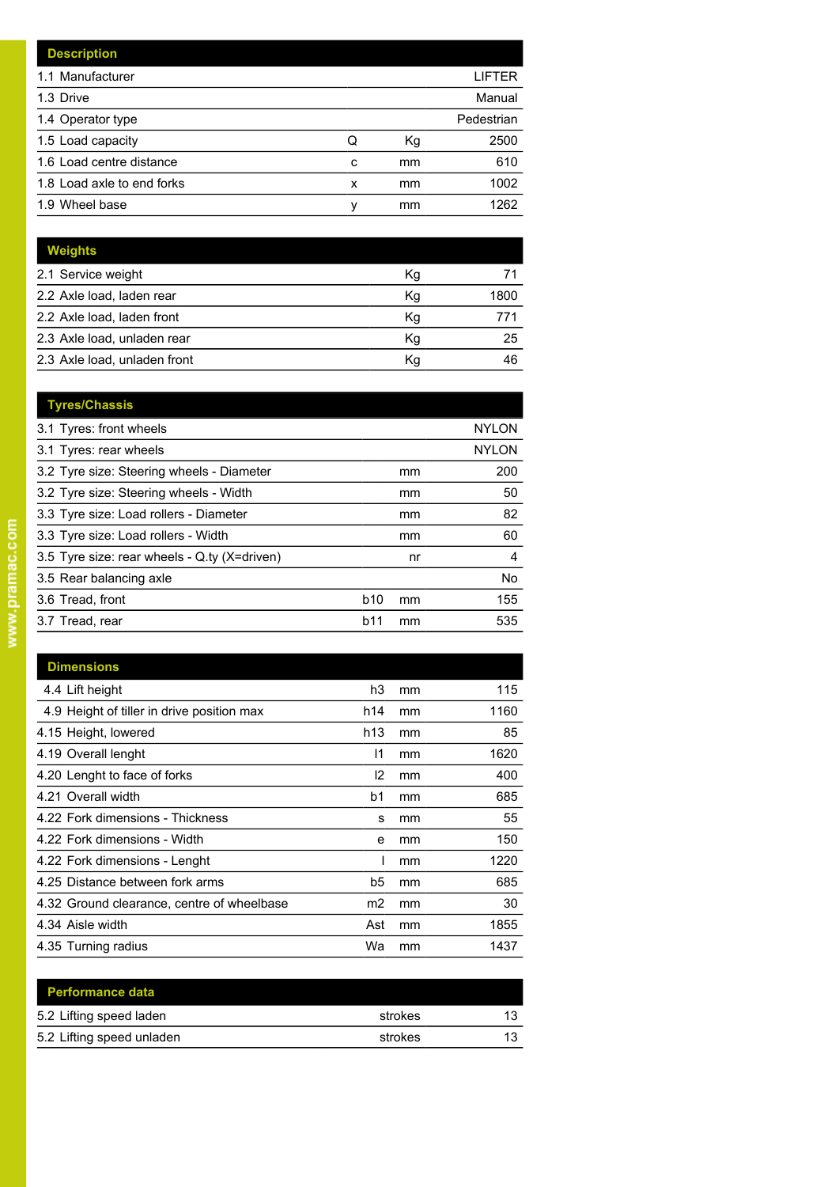|   |    | LIFTER     |
|---|----|------------|
|   |    | Manual     |
|   |    | Pedestrian |
| Q | Кg | 2500       |
| C | mm | 610        |
| x | mm | 1002       |
| ν | mm | 1262       |
|   |    |            |

| <b>Weights</b>               |    |      |
|------------------------------|----|------|
| 2.1 Service weight           | Кg |      |
| 2.2 Axle load, laden rear    | Κq | 1800 |
| 2.2 Axle load, laden front   | Кg |      |
| 2.3 Axle load, unladen rear  | Кg | 25   |
| 2.3 Axle load, unladen front | Κq | 46   |

| <b>Tyres/Chassis</b>                         |            |    |              |
|----------------------------------------------|------------|----|--------------|
| 3.1 Tyres: front wheels                      |            |    | <b>NYLON</b> |
| 3.1 Tyres: rear wheels                       |            |    | <b>NYLON</b> |
| 3.2 Tyre size: Steering wheels - Diameter    |            | mm | 200          |
| 3.2 Tyre size: Steering wheels - Width       |            | mm | 50           |
| 3.3 Tyre size: Load rollers - Diameter       |            | mm | 82           |
| 3.3 Tyre size: Load rollers - Width          |            | mm | 60           |
| 3.5 Tyre size: rear wheels - Q.ty (X=driven) |            | nr | 4            |
| 3.5 Rear balancing axle                      |            |    | <b>No</b>    |
| 3.6 Tread, front                             | <b>b10</b> | mm | 155          |
| 3.7 Tread, rear                              | b11        | mm | 535          |
|                                              |            |    |              |

| <b>Dimensions</b>                          |                |    |      |
|--------------------------------------------|----------------|----|------|
| 4.4 Lift height                            | h3             | mm | 115  |
| 4.9 Height of tiller in drive position max | h14            | mm | 1160 |
| 4.15 Height, lowered                       | h13            | mm | 85   |
| 4.19 Overall lenght                        | 11             | mm | 1620 |
| 4.20 Lenght to face of forks               | 12             | mm | 400  |
| 4.21 Overall width                         | b1             | mm | 685  |
| 4.22 Fork dimensions - Thickness           | s              | mm | 55   |
| 4.22 Fork dimensions - Width               | e              | mm | 150  |
| 4.22 Fork dimensions - Lenght              |                | mm | 1220 |
| 4.25 Distance between fork arms            | b5             | mm | 685  |
| 4.32 Ground clearance, centre of wheelbase | m <sub>2</sub> | mm | 30   |
| 4.34 Aisle width                           | Ast            | mm | 1855 |
| 4.35 Turning radius                        | Wa             | mm | 1437 |

| <b>Performance data</b>   |         |  |
|---------------------------|---------|--|
| 5.2 Lifting speed laden   | strokes |  |
| 5.2 Lifting speed unladen | strokes |  |
|                           |         |  |